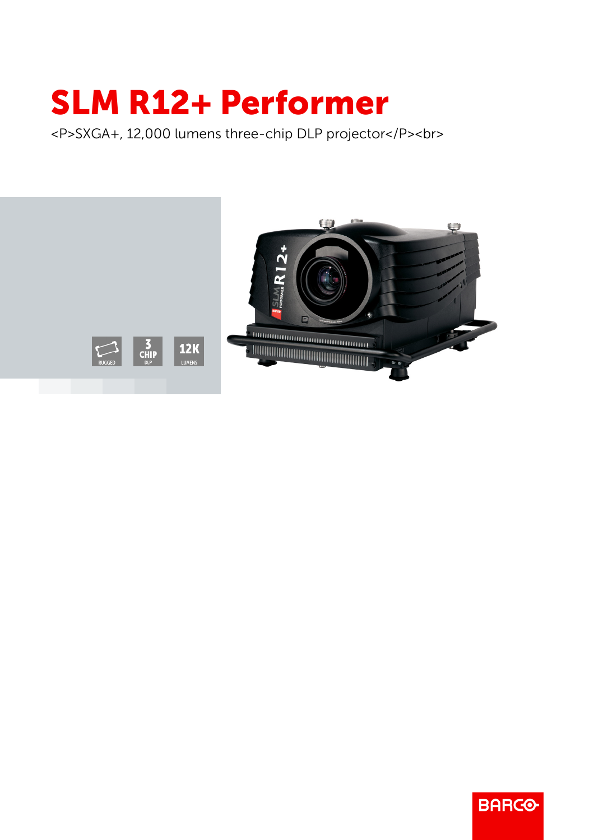## SLM R12+ Performer

<P>SXGA+, 12,000 lumens three-chip DLP projector</P><br>